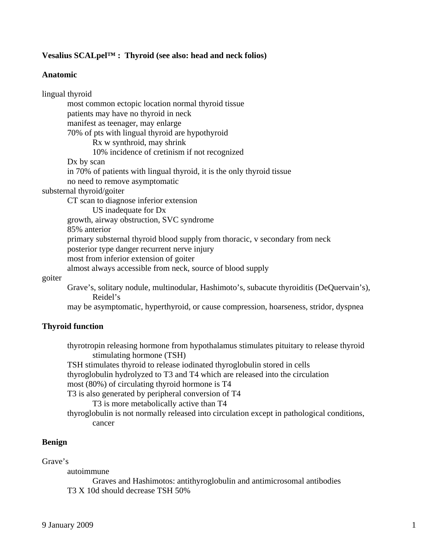# **Vesalius SCALpel™ : Thyroid (see also: head and neck folios)**

## **Anatomic**

lingual thyroid most common ectopic location normal thyroid tissue patients may have no thyroid in neck manifest as teenager, may enlarge 70% of pts with lingual thyroid are hypothyroid Rx w synthroid, may shrink 10% incidence of cretinism if not recognized Dx by scan in 70% of patients with lingual thyroid, it is the only thyroid tissue no need to remove asymptomatic substernal thyroid/goiter CT scan to diagnose inferior extension US inadequate for Dx growth, airway obstruction, SVC syndrome 85% anterior primary substernal thyroid blood supply from thoracic, v secondary from neck posterior type danger recurrent nerve injury most from inferior extension of goiter almost always accessible from neck, source of blood supply goiter Grave's, solitary nodule, multinodular, Hashimoto's, subacute thyroiditis (DeQuervain's), Reidel's may be asymptomatic, hyperthyroid, or cause compression, hoarseness, stridor, dyspnea

# **Thyroid function**

thyrotropin releasing hormone from hypothalamus stimulates pituitary to release thyroid stimulating hormone (TSH) TSH stimulates thyroid to release iodinated thyroglobulin stored in cells thyroglobulin hydrolyzed to T3 and T4 which are released into the circulation most (80%) of circulating thyroid hormone is T4 T3 is also generated by peripheral conversion of T4 T3 is more metabolically active than T4 thyroglobulin is not normally released into circulation except in pathological conditions, cancer

# **Benign**

# Grave's

autoimmune

 Graves and Hashimotos: antithyroglobulin and antimicrosomal antibodies T3 X 10d should decrease TSH 50%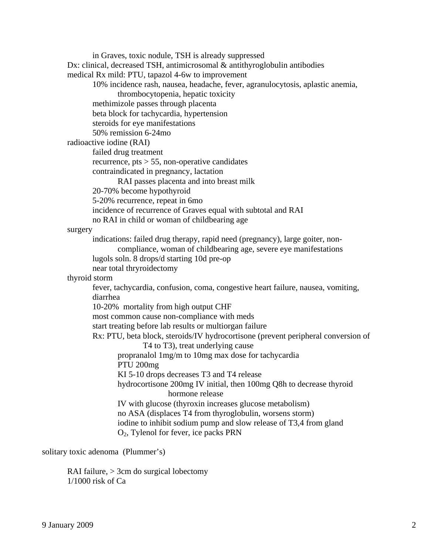in Graves, toxic nodule, TSH is already suppressed Dx: clinical, decreased TSH, antimicrosomal & antithyroglobulin antibodies medical Rx mild: PTU, tapazol 4-6w to improvement 10% incidence rash, nausea, headache, fever, agranulocytosis, aplastic anemia, thrombocytopenia, hepatic toxicity methimizole passes through placenta beta block for tachycardia, hypertension steroids for eye manifestations 50% remission 6-24mo radioactive iodine (RAI) failed drug treatment recurrence,  $pts > 55$ , non-operative candidates contraindicated in pregnancy, lactation RAI passes placenta and into breast milk 20-70% become hypothyroid 5-20% recurrence, repeat in 6mo incidence of recurrence of Graves equal with subtotal and RAI no RAI in child or woman of childbearing age surgery indications: failed drug therapy, rapid need (pregnancy), large goiter, non compliance, woman of childbearing age, severe eye manifestations lugols soln. 8 drops/d starting 10d pre-op near total thryroidectomy thyroid storm fever, tachycardia, confusion, coma, congestive heart failure, nausea, vomiting, diarrhea 10-20% mortality from high output CHF most common cause non-compliance with meds start treating before lab results or multiorgan failure Rx: PTU, beta block, steroids/IV hydrocortisone (prevent peripheral conversion of T4 to T3), treat underlying cause propranalol 1mg/m to 10mg max dose for tachycardia PTU 200mg KI 5-10 drops decreases T3 and T4 release hydrocortisone 200mg IV initial, then 100mg Q8h to decrease thyroid hormone release IV with glucose (thyroxin increases glucose metabolism) no ASA (displaces T4 from thyroglobulin, worsens storm) iodine to inhibit sodium pump and slow release of T3,4 from gland O2, Tylenol for fever, ice packs PRN

solitary toxic adenoma (Plummer's)

 RAI failure, > 3cm do surgical lobectomy 1/1000 risk of Ca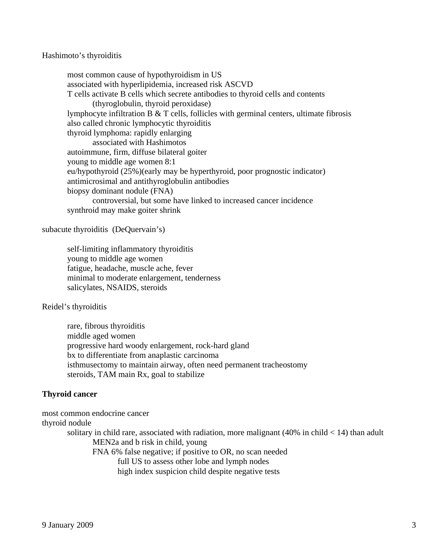### Hashimoto's thyroiditis

 most common cause of hypothyroidism in US associated with hyperlipidemia, increased risk ASCVD T cells activate B cells which secrete antibodies to thyroid cells and contents (thyroglobulin, thyroid peroxidase) lymphocyte infiltration  $B \& T$  cells, follicles with germinal centers, ultimate fibrosis also called chronic lymphocytic thyroiditis thyroid lymphoma: rapidly enlarging associated with Hashimotos autoimmune, firm, diffuse bilateral goiter young to middle age women 8:1 eu/hypothyroid (25%)(early may be hyperthyroid, poor prognostic indicator) antimicrosimal and antithyroglobulin antibodies biopsy dominant nodule (FNA) controversial, but some have linked to increased cancer incidence synthroid may make goiter shrink

subacute thyroiditis (DeQuervain's)

 self-limiting inflammatory thyroiditis young to middle age women fatigue, headache, muscle ache, fever minimal to moderate enlargement, tenderness salicylates, NSAIDS, steroids

Reidel's thyroiditis

 rare, fibrous thyroiditis middle aged women progressive hard woody enlargement, rock-hard gland bx to differentiate from anaplastic carcinoma isthmusectomy to maintain airway, often need permanent tracheostomy steroids, TAM main Rx, goal to stabilize

### **Thyroid cancer**

most common endocrine cancer thyroid nodule solitary in child rare, associated with radiation, more malignant  $(40\%$  in child  $< 14$ ) than adult MEN2a and b risk in child, young FNA 6% false negative; if positive to OR, no scan needed full US to assess other lobe and lymph nodes high index suspicion child despite negative tests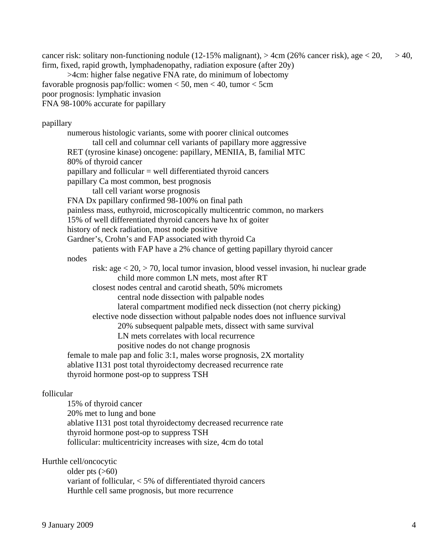cancer risk: solitary non-functioning nodule (12-15% malignant),  $>$  4cm (26% cancer risk), age  $<$  20,  $>$  40, firm, fixed, rapid growth, lymphadenopathy, radiation exposure (after 20y)

 >4cm: higher false negative FNA rate, do minimum of lobectomy favorable prognosis pap/follic: women < 50, men < 40, tumor < 5cm poor prognosis: lymphatic invasion FNA 98-100% accurate for papillary

#### papillary

 numerous histologic variants, some with poorer clinical outcomes tall cell and columnar cell variants of papillary more aggressive RET (tyrosine kinase) oncogene: papillary, MENIIA, B, familial MTC 80% of thyroid cancer papillary and follicular = well differentiated thyroid cancers papillary Ca most common, best prognosis tall cell variant worse prognosis FNA Dx papillary confirmed 98-100% on final path painless mass, euthyroid, microscopically multicentric common, no markers 15% of well differentiated thyroid cancers have hx of goiter history of neck radiation, most node positive Gardner's, Crohn's and FAP associated with thyroid Ca patients with FAP have a 2% chance of getting papillary thyroid cancer nodes risk: age < 20, > 70, local tumor invasion, blood vessel invasion, hi nuclear grade child more common LN mets, most after RT closest nodes central and carotid sheath, 50% micromets central node dissection with palpable nodes lateral compartment modified neck dissection (not cherry picking) elective node dissection without palpable nodes does not influence survival 20% subsequent palpable mets, dissect with same survival LN mets correlates with local recurrence positive nodes do not change prognosis female to male pap and folic 3:1, males worse prognosis, 2X mortality ablative I131 post total thyroidectomy decreased recurrence rate thyroid hormone post-op to suppress TSH

## follicular

 15% of thyroid cancer 20% met to lung and bone ablative I131 post total thyroidectomy decreased recurrence rate thyroid hormone post-op to suppress TSH follicular: multicentricity increases with size, 4cm do total

#### Hurthle cell/oncocytic

older pts  $(>60)$  variant of follicular, < 5% of differentiated thyroid cancers Hurthle cell same prognosis, but more recurrence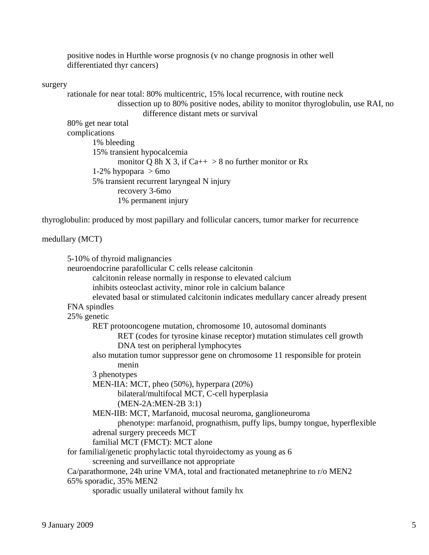positive nodes in Hurthle worse prognosis (v no change prognosis in other well differentiated thyr cancers)

### surgery

 rationale for near total: 80% multicentric, 15% local recurrence, with routine neck dissection up to 80% positive nodes, ability to monitor thyroglobulin, use RAI, no difference distant mets or survival 80% get near total complications 1% bleeding 15% transient hypocalcemia monitor Q 8h X 3, if  $Ca++ > 8$  no further monitor or Rx 1-2% hypopara  $> 6$ mo 5% transient recurrent laryngeal N injury recovery 3-6mo 1% permanent injury

thyroglobulin: produced by most papillary and follicular cancers, tumor marker for recurrence

### medullary (MCT)

 5-10% of thyroid malignancies neuroendocrine parafollicular C cells release calcitonin calcitonin release normally in response to elevated calcium inhibits osteoclast activity, minor role in calcium balance elevated basal or stimulated calcitonin indicates medullary cancer already present FNA spindles 25% genetic RET protooncogene mutation, chromosome 10, autosomal dominants RET (codes for tyrosine kinase receptor) mutation stimulates cell growth DNA test on peripheral lymphocytes also mutation tumor suppressor gene on chromosome 11 responsible for protein menin 3 phenotypes MEN-IIA: MCT, pheo (50%), hyperpara (20%) bilateral/multifocal MCT, C-cell hyperplasia (MEN-2A:MEN-2B 3:1) MEN-IIB: MCT, Marfanoid, mucosal neuroma, ganglioneuroma phenotype: marfanoid, prognathism, puffy lips, bumpy tongue, hyperflexible adrenal surgery preceeds MCT familial MCT (FMCT): MCT alone for familial/genetic prophylactic total thyroidectomy as young as 6 screening and surveillance not appropriate Ca/parathormone, 24h urine VMA, total and fractionated metanephrine to r/o MEN2 65% sporadic, 35% MEN2 sporadic usually unilateral without family hx